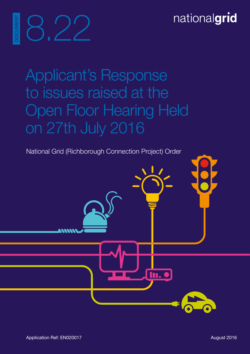# DOCUMENT 8.22 **DCUMEN**

Applicant's Response to issues raised at the Open Floor Hearing Held on 27th July 2016

National Grid (Richborough Connection Project) Order

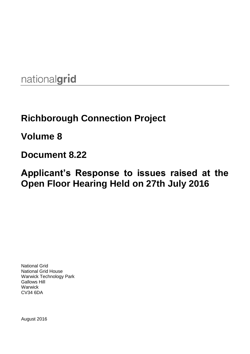nationalgrid

# **Richborough Connection Project**

**Volume 8**

## **Document 8.22**

## **Applicant's Response to issues raised at the Open Floor Hearing Held on 27th July 2016**

National Grid National Grid House Warwick Technology Park Gallows Hill **Warwick** CV34 6DA

August 2016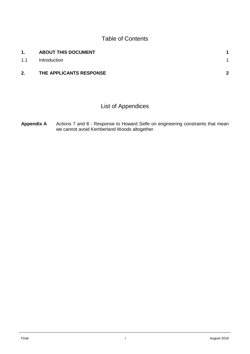#### Table of Contents

| 1.  | <b>ABOUT THIS DOCUMENT</b> |     |
|-----|----------------------------|-----|
| 1.1 | Introduction               |     |
| 2.  | THE APPLICANTS RESPONSE    | - 2 |

### List of Appendices

Appendix A Actions 7 and 8 - Response to Howard Selfe on engineering constraints that mean we cannot avoid Kemberland Woods altogether.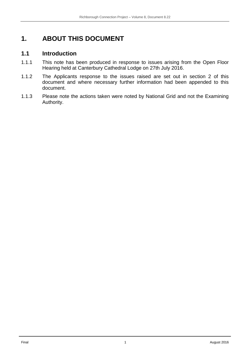### <span id="page-6-0"></span>**1. ABOUT THIS DOCUMENT**

#### <span id="page-6-1"></span>**1.1 Introduction**

- 1.1.1 This note has been produced in response to issues arising from the Open Floor Hearing held at Canterbury Cathedral Lodge on 27th July 2016.
- 1.1.2 The Applicants response to the issues raised are set out in section 2 of this document and where necessary further information had been appended to this document.
- 1.1.3 Please note the actions taken were noted by National Grid and not the Examining Authority.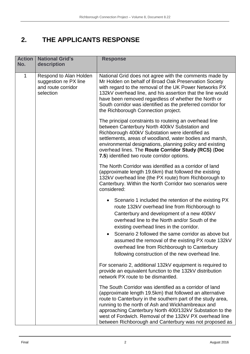## <span id="page-7-0"></span>**2. THE APPLICANTS RESPONSE**

| <b>Action</b><br>No. | <b>National Grid's</b><br>description                                              | <b>Response</b>                                                                                                                                                                                                                                                                                                                                                                                                                                                               |
|----------------------|------------------------------------------------------------------------------------|-------------------------------------------------------------------------------------------------------------------------------------------------------------------------------------------------------------------------------------------------------------------------------------------------------------------------------------------------------------------------------------------------------------------------------------------------------------------------------|
| 1                    | Respond to Alan Holden<br>suggestion re PX line<br>and route corridor<br>selection | National Grid does not agree with the comments made by<br>Mr Holden on behalf of Broad Oak Preservation Society<br>with regard to the removal of the UK Power Networks PX<br>132kV overhead line, and his assertion that the line would<br>have been removed regardless of whether the North or<br>South corridor was identified as the preferred corridor for<br>the Richborough Connection project.                                                                         |
|                      |                                                                                    | The principal constraints to routeing an overhead line<br>between Canterbury North 400kV Substation and<br>Richborough 400kV Substation were identified as<br>settlements, areas of woodland, water bodies and marsh,<br>environmental designations, planning policy and existing<br>overhead lines. The Route Corridor Study (RCS) (Doc<br>7.5) identified two route corridor options.                                                                                       |
|                      |                                                                                    | The North Corridor was identified as a corridor of land<br>(approximate length 19.6km) that followed the existing<br>132kV overhead line (the PX route) from Richborough to<br>Canterbury. Within the North Corridor two scenarios were<br>considered:                                                                                                                                                                                                                        |
|                      |                                                                                    | Scenario 1 included the retention of the existing PX<br>$\bullet$<br>route 132kV overhead line from Richborough to<br>Canterbury and development of a new 400kV<br>overhead line to the North and/or South of the<br>existing overhead lines in the corridor.<br>Scenario 2 followed the same corridor as above but<br>assumed the removal of the existing PX route 132kV<br>overhead line from Richborough to Canterbury<br>following construction of the new overhead line. |
|                      |                                                                                    | For scenario 2, additional 132kV equipment is required to<br>provide an equivalent function to the 132kV distribution<br>network PX route to be dismantled.                                                                                                                                                                                                                                                                                                                   |
|                      |                                                                                    | The South Corridor was identified as a corridor of land<br>(approximate length 19.5km) that followed an alternative<br>route to Canterbury in the southern part of the study area,<br>running to the north of Ash and Wickhambreaux and<br>approaching Canterbury North 400/132kV Substation to the<br>west of Fordwich. Removal of the 132kV PX overhead line<br>between Richborough and Canterbury was not proposed as                                                      |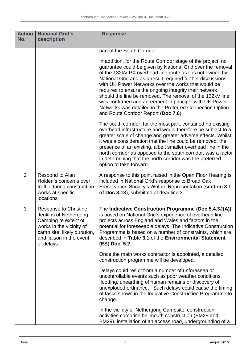| <b>Action</b><br>No. | <b>National Grid's</b><br>description                                                                                                                                             | <b>Response</b>                                                                                                                                                                                                                                                                                                                                                                                                                                                                                                                                                                                   |
|----------------------|-----------------------------------------------------------------------------------------------------------------------------------------------------------------------------------|---------------------------------------------------------------------------------------------------------------------------------------------------------------------------------------------------------------------------------------------------------------------------------------------------------------------------------------------------------------------------------------------------------------------------------------------------------------------------------------------------------------------------------------------------------------------------------------------------|
|                      |                                                                                                                                                                                   | part of the South Corridor.                                                                                                                                                                                                                                                                                                                                                                                                                                                                                                                                                                       |
|                      |                                                                                                                                                                                   | In addition, for the Route Corridor stage of the project, no<br>guarantee could be given by National Grid over the removal<br>of the 132kV PX overhead line route as it is not owned by<br>National Grid and as a result required further discussions<br>with UK Power Networks over the works that would be<br>required to ensure the ongoing integrity their network<br>should the line be removed. The removal of the 132kV line<br>was confirmed and agreement in principle with UK Power<br>Networks was detailed in the Preferred Connection Option<br>and Route Corridor Report (Doc 7.6). |
|                      |                                                                                                                                                                                   | The south corridor, for the most part, contained no existing<br>overhead infrastructure and would therefore be subject to a<br>greater scale of change and greater adverse effects. Whilst<br>it was a consideration that the line could be removed, the<br>presence of an existing, albeit smaller overhead line in the<br>north corridor as opposed to the south corridor, was a factor<br>in determining that the north corridor was the preferred<br>option to take forward.                                                                                                                  |
| $\overline{2}$       | Respond to Alan<br>Holden's concerns over<br>traffic during construction<br>works at specific<br>locations                                                                        | A response to this point raised in the Open Floor Hearing is<br>included in National Grid's response to Broad Oak<br>Preservation Society's Written Representation (section 3.1<br>of Doc 8.13), submitted at deadline 3.                                                                                                                                                                                                                                                                                                                                                                         |
| 3                    | <b>Response to Christine</b><br>Jenkins of Nethergong<br>Camping re extent of<br>works in the vicinity of<br>camp site, likely duration,<br>and liaison in the event<br>of delays | The Indicative Construction Programme (Doc 5.4.3J(A))<br>is based on National Grid's experience of overhead line<br>projects across England and Wales and factors in the<br>potential for foreseeable delays. The Indicative Construction<br>Programme is based on a number of constraints, which are<br>described in Table 3.1 of the Environmental Statement<br>(ES) Doc. 5.2.                                                                                                                                                                                                                  |
|                      |                                                                                                                                                                                   | Once the main works contractor is appointed, a detailed<br>construction programme will be developed.                                                                                                                                                                                                                                                                                                                                                                                                                                                                                              |
|                      |                                                                                                                                                                                   | Delays could result from a number of unforeseen or<br>uncontrollable events such as poor weather conditions,<br>flooding, unearthing of human remains or discovery of<br>unexploded ordnance. Such delays could cause the timing<br>of tasks shown in the Indicative Construction Programme to<br>change.                                                                                                                                                                                                                                                                                         |
|                      |                                                                                                                                                                                   | In the vicinity of Nethergong Campsite, construction<br>activities comprise bellmouth construction (BM28 and<br>BM29), installation of an access road, undergrounding of a                                                                                                                                                                                                                                                                                                                                                                                                                        |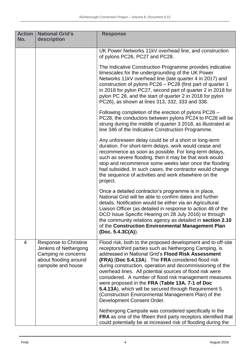| <b>Action</b><br>No. | <b>National Grid's</b><br>description                                                                                       | <b>Response</b>                                                                                                                                                                                                                                                                                                                                                                                                                                                                                                                                                                                                                                                                                                                                                   |
|----------------------|-----------------------------------------------------------------------------------------------------------------------------|-------------------------------------------------------------------------------------------------------------------------------------------------------------------------------------------------------------------------------------------------------------------------------------------------------------------------------------------------------------------------------------------------------------------------------------------------------------------------------------------------------------------------------------------------------------------------------------------------------------------------------------------------------------------------------------------------------------------------------------------------------------------|
|                      |                                                                                                                             | UK Power Networks 11kV overhead line, and construction<br>of pylons PC26, PC27 and PC28.                                                                                                                                                                                                                                                                                                                                                                                                                                                                                                                                                                                                                                                                          |
|                      |                                                                                                                             | The Indicative Construction Programme provides indicative<br>timescales for the undergrounding of the UK Power<br>Networks 11kV overhead line (late quarter 4 in 2017) and<br>construction of pylons PC26 - PC28 (first part of quarter 1<br>in 2018 for pylon PC27, second part of quarter 2 in 2018 for<br>pylon PC 28, and the start of quarter 2 in 2018 for pylon<br>PC26), as shown at lines 313, 332, 333 and 338.                                                                                                                                                                                                                                                                                                                                         |
|                      |                                                                                                                             | Following completion of the erection of pylons PC26 -<br>PC28, the conductors between pylons PC24 to PC28 will be<br>strung during the middle of quarter 3 2018, as illustrated at<br>line 346 of the Indicative Construction Programme.                                                                                                                                                                                                                                                                                                                                                                                                                                                                                                                          |
|                      |                                                                                                                             | Any unforeseen delay could be of a short or long-term<br>duration. For short-term delays, work would cease and<br>recommence as soon as possible. For long-term delays,<br>such as severe flooding, then it may be that work would<br>stop and recommence some weeks later once the flooding<br>had subsided. In such cases, the contractor would change<br>the sequence of activities and work elsewhere on the<br>project.                                                                                                                                                                                                                                                                                                                                      |
|                      |                                                                                                                             | Once a detailed contractor's programme is in place,<br>National Grid will be able to confirm dates and further<br>details. Notification would be either via an Agricultural<br>Liaison Officer (as detailed in response to action 48 of the<br>DCO Issue Specific Hearing on 28 July 2016) or through<br>the community relations agency as detailed in section 2.10<br>of the Construction Environmental Management Plan<br>(Doc. 5.4.3C(A)).                                                                                                                                                                                                                                                                                                                     |
| 4                    | <b>Response to Christine</b><br>Jenkins of Nethergong<br>Camping re concerns<br>about flooding around<br>campsite and house | Flood risk, both to the proposed development and to off-site<br>receptors/third parties such as Nethergong Camping, is<br>addressed in National Grid's Flood Risk Assessment<br><b>(FRA) (Doc 5.4.13A).</b> The FRA considered flood risk<br>during construction, operation and decommissioning of the<br>overhead lines. All potential sources of flood risk were<br>considered. A number of flood risk management measures<br>were proposed in the FRA (Table 13A. 7-1 of Doc<br>5.4.13A), which will be secured through Requirement 5<br>(Construction Environmental Management Plan) of the<br>Development Consent Order.<br>Nethergong Campsite was considered specifically in the<br><b>FRA</b> as one of the fifteen third party receptors identified that |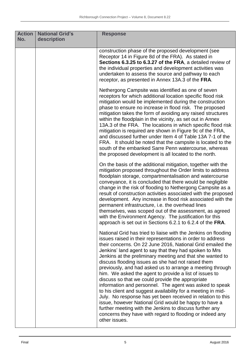| <b>Action</b><br>No. | <b>National Grid's</b><br>description | <b>Response</b>                                                                                                                                                                                                                                                                                                                                                                                                                                                                                                                                                                                                                                                                                                                                                                                                                                                                                                                               |
|----------------------|---------------------------------------|-----------------------------------------------------------------------------------------------------------------------------------------------------------------------------------------------------------------------------------------------------------------------------------------------------------------------------------------------------------------------------------------------------------------------------------------------------------------------------------------------------------------------------------------------------------------------------------------------------------------------------------------------------------------------------------------------------------------------------------------------------------------------------------------------------------------------------------------------------------------------------------------------------------------------------------------------|
|                      |                                       | construction phase of the proposed development (see<br>Receptor 14 in Figure 8d of the FRA). As stated in<br>Sections 6.3.25 to 6.3.27 of the FRA, a detailed review of<br>the individual properties and development activities was<br>undertaken to assess the source and pathway to each<br>receptor, as presented in Annex 13A.3 of the FRA.                                                                                                                                                                                                                                                                                                                                                                                                                                                                                                                                                                                               |
|                      |                                       | Nethergong Campsite was identified as one of seven<br>receptors for which additional location specific flood risk<br>mitigation would be implemented during the construction<br>phase to ensure no increase in flood risk. The proposed<br>mitigation takes the form of avoiding any raised structures<br>within the floodplain in the vicinity, as set out in Annex<br>13A.3 of the FRA. The locations in which specific flood risk<br>mitigation is required are shown in Figure 9c of the FRA,<br>and discussed further under Item 4 of Table 13A 7-1 of the<br>FRA. It should be noted that the campsite is located to the<br>south of the embanked Sarre Penn watercourse, whereas<br>the proposed development is all located to the north.                                                                                                                                                                                              |
|                      |                                       | On the basis of the additional mitigation, together with the<br>mitigation proposed throughout the Order limits to address<br>floodplain storage, compartmentalisation and watercourse<br>conveyance, it is concluded that there would be negligible<br>change in the risk of flooding to Nethergong Campsite as a<br>result of construction activities associated with the proposed<br>development. Any increase in flood risk associated with the<br>permanent infrastructure, i.e. the overhead lines<br>themselves, was scoped out of the assessment, as agreed<br>with the Environment Agency. The justification for this<br>approach is set out in Sections 6.2.1 to 6.2.4 of the FRA.                                                                                                                                                                                                                                                  |
|                      |                                       | National Grid has tried to liaise with the Jenkins on flooding<br>issues raised in their representations in order to address<br>their concerns. On 22 June 2016, National Grid emailed the<br>Jenkins' land agent to say that they had spoken to Mrs<br>Jenkins at the preliminary meeting and that she wanted to<br>discuss flooding issues as she had not raised them<br>previously, and had asked us to arrange a meeting through<br>him. We asked the agent to provide a list of issues to<br>discuss so that we could provide the appropriate<br>information and personnel. The agent was asked to speak<br>to his client and suggest availability for a meeting in mid-<br>July. No response has yet been received in relation to this<br>issue, however National Grid would be happy to have a<br>further meeting with the Jenkins to discuss further any<br>concerns they have with regard to flooding or indeed any<br>other issues. |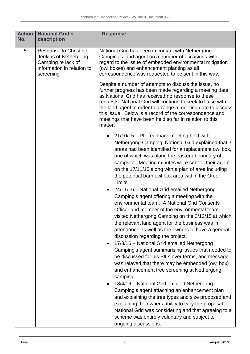| <b>Action</b><br>No. | <b>National Grid's</b><br>description                                                                           | <b>Response</b>                                                                                                                                                                                                                                                                                                                                                                                                                         |
|----------------------|-----------------------------------------------------------------------------------------------------------------|-----------------------------------------------------------------------------------------------------------------------------------------------------------------------------------------------------------------------------------------------------------------------------------------------------------------------------------------------------------------------------------------------------------------------------------------|
| 5                    | Response to Christine<br>Jenkins of Nethergong<br>Camping re lack of<br>information in relation to<br>screening | National Grid has been in contact with Nethergong<br>Camping's land agent on a number of occasions with<br>regard to the issue of embedded environmental mitigation<br>(owl boxes) and enhancement planting as all<br>correspondence was requested to be sent in this way.                                                                                                                                                              |
|                      |                                                                                                                 | Despite a number of attempts to discuss the issue, no<br>further progress has been made regarding a meeting date<br>as National Grid has received no response to these<br>requests. National Grid will continue to seek to liaise with<br>the land agent in order to arrange a meeting date to discuss<br>this issue. Below is a record of the correspondence and<br>meetings that have been held so far in relation to this<br>matter. |
|                      |                                                                                                                 | • $21/10/15$ – PIL feedback meeting held with<br>Nethergong Camping. National Grid explained that 3<br>areas had been identified for a replacement owl box,<br>one of which was along the eastern boundary of<br>campsite. Meeting minutes were sent to their agent<br>on the 17/11/15 along with a plan of area including<br>the potential barn owl box area within the Order<br>Limits                                                |
|                      |                                                                                                                 | • 24/11/16 - National Grid emailed Nethergong<br>Camping's agent offering a meeting with the<br>environmental team. A National Grid Consents<br>Officer and member of the environmental team<br>visited Nethergong Camping on the 3/12/15 at which<br>the relevant land agent for the business was in<br>attendance as well as the owners to have a general<br>discussion regarding the project.                                        |
|                      |                                                                                                                 | 17/3/16 - National Grid emailed Nethergong<br>Camping's agent summarising issues that needed to<br>be discussed for his PILs over terms, and message<br>was relayed that there may be embedded (owl box)<br>and enhancement tree screening at Nethergong<br>camping                                                                                                                                                                     |
|                      |                                                                                                                 | 18/4/16 - National Grid emailed Nethergong<br>Camping's agent attaching an enhancement plan<br>and explaining the tree types and size proposed and<br>explaining the owners ability to vary the proposal<br>National Grid was considering and that agreeing to a<br>scheme was entirely voluntary and subject to<br>ongoing discussions.                                                                                                |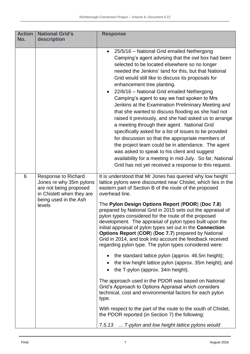| <b>Action</b><br>No. | <b>National Grid's</b><br>description                                                                                                           | <b>Response</b>                                                                                                                                                                                                                                                                                                                                                                                                                                                                                                                                                                                                                                                                                                                                                                                                                                                                                                                                                                                                                                                                                                                                                                                                                   |
|----------------------|-------------------------------------------------------------------------------------------------------------------------------------------------|-----------------------------------------------------------------------------------------------------------------------------------------------------------------------------------------------------------------------------------------------------------------------------------------------------------------------------------------------------------------------------------------------------------------------------------------------------------------------------------------------------------------------------------------------------------------------------------------------------------------------------------------------------------------------------------------------------------------------------------------------------------------------------------------------------------------------------------------------------------------------------------------------------------------------------------------------------------------------------------------------------------------------------------------------------------------------------------------------------------------------------------------------------------------------------------------------------------------------------------|
|                      |                                                                                                                                                 | 25/5/16 - National Grid emailed Nethergong<br>$\bullet$<br>Camping's agent advising that the owl box had been<br>selected to be located elsewhere so no longer<br>needed the Jenkins' land for this, but that National<br>Grid would still like to discuss its proposals for<br>enhancement tree planting.<br>22/6/16 - National Grid emailed Nethergong<br>Camping's agent to say we had spoken to Mrs<br>Jenkins at the Examination Preliminary Meeting and<br>that she wanted to discuss flooding as she had not<br>raised it previously, and she had asked us to arrange<br>a meeting through their agent. National Grid<br>specifically asked for a list of issues to be provided<br>for discussion so that the appropriate members of<br>the project team could be in attendance. The agent<br>was asked to speak to his client and suggest<br>availability for a meeting in mid-July. So far, National<br>Grid has not yet received a response to this request.                                                                                                                                                                                                                                                            |
| 6                    | <b>Response to Richard</b><br>Jones re why 35m pylons<br>are not being proposed<br>in Chislett when they are<br>being used in the Ash<br>levels | It is understood that Mr Jones has queried why low height<br>lattice pylons were discounted near Chislet, which lies in the<br>eastern part of Section B of the route of the proposed<br>overhead line.<br>The Pylon Design Options Report (PDOR) (Doc 7.8)<br>prepared by National Grid in 2015 sets out the appraisal of<br>pylon types considered for the route of the proposed<br>development. The appraisal of pylon types built upon the<br>initial appraisal of pylon types set out in the <b>Connection</b><br><b>Options Report (COR) (Doc 7.7) prepared by National</b><br>Grid in 2014, and took into account the feedback received<br>regarding pylon type. The pylon types considered were:<br>• the standard lattice pylon (approx. 46.5m height);<br>the low height lattice pylon (approx. 35m height); and<br>the T-pylon (approx. 34m height).<br>The approach used in the PDOR was based on National<br>Grid's Approach to Options Appraisal which considers<br>technical, cost and environmental factors for each pylon<br>type.<br>With respect to the part of the route to the south of Chislet,<br>the PDOR reported (in Section 7) the following:<br>T-pylon and low height lattice pylons would<br>7.5.13 |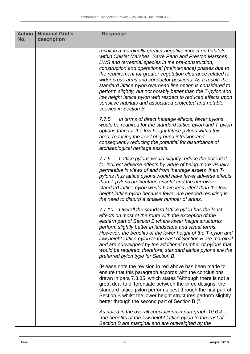| <b>Action</b><br>No. | <b>National Grid's</b><br>description | <b>Response</b>                                                                                                                                                                                                                                                                                                                                                                                                                                                                                                                                                                                                                                             |
|----------------------|---------------------------------------|-------------------------------------------------------------------------------------------------------------------------------------------------------------------------------------------------------------------------------------------------------------------------------------------------------------------------------------------------------------------------------------------------------------------------------------------------------------------------------------------------------------------------------------------------------------------------------------------------------------------------------------------------------------|
|                      |                                       | result in a marginally greater negative impact on habitats<br>within Chislet Marshes, Sarre Penn and Preston Marshes<br>LWS and terrestrial species in the pre-construction,<br>construction and operational (maintenance) phases due to<br>the requirement for greater vegetation clearance related to<br>wider cross arms and conductor positions. As a result, the<br>standard lattice pylon overhead line option is considered to<br>perform slightly, but not notably better than the T-pylon and<br>low height lattice pylon with respect to reduced effects upon<br>sensitive habitats and associated protected and notable<br>species in Section B. |
|                      |                                       | 7.7.5<br>In terms of direct heritage effects, fewer pylons<br>would be required for the standard lattice pylon and T-pylon<br>options than for the low height lattice pylons within this<br>area, reducing the level of ground intrusion and<br>consequently reducing the potential for disturbance of<br>archaeological heritage assets.                                                                                                                                                                                                                                                                                                                   |
|                      |                                       | Lattice pylons would slightly reduce the potential<br>7.7.6<br>for indirect adverse effects by virtue of being more visually<br>permeable in views of and from 'heritage assets' than T-<br>pylons thus lattice pylons would have fewer adverse effects<br>than T-pylons on 'heritage assets' and the narrower<br>standard lattice pylon would have less effect than the low<br>height lattice pylon because fewer are needed resulting in<br>the need to disturb a smaller number of areas.                                                                                                                                                                |
|                      |                                       | 7.7.10 Overall the standard lattice pylon has the least<br>effects on most of the route with the exception of the<br>eastern part of Section B where lower height structures<br>perform slightly better in landscape and visual terms.<br>However, the benefits of the lower height of the T-pylon and<br>low height lattice pylon to the east of Section B are marginal<br>and are outweighed by the additional number of pylons that<br>would be required, therefore, standard lattice pylons are the<br>preferred pylon type for Section B.                                                                                                              |
|                      |                                       | (Please note the revision in red above has been made to<br>ensure that this paragraph accords with the conclusions<br>drawn in para 7.3.35, which states "Although there is not a<br>great deal to differentiate between the three designs, the<br>standard lattice pylon performs best through the first part of<br>Section B whilst the lower height structures perform slightly<br>better through the second part of Section B.)".                                                                                                                                                                                                                       |
|                      |                                       | As noted in the overall conclusions in paragraph 10.6.4<br>"the benefits of the low height lattice pylon to the east of<br>Section B are marginal and are outweighed by the                                                                                                                                                                                                                                                                                                                                                                                                                                                                                 |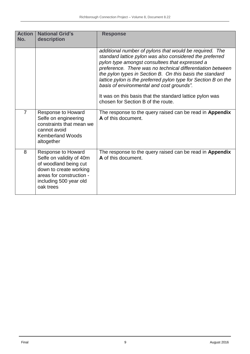| <b>Action</b><br>No. | <b>National Grid's</b><br>description                                                                                                                                       | <b>Response</b>                                                                                                                                                                                                                                                                                                                                                                                                                                                                                                  |
|----------------------|-----------------------------------------------------------------------------------------------------------------------------------------------------------------------------|------------------------------------------------------------------------------------------------------------------------------------------------------------------------------------------------------------------------------------------------------------------------------------------------------------------------------------------------------------------------------------------------------------------------------------------------------------------------------------------------------------------|
|                      |                                                                                                                                                                             | additional number of pylons that would be required. The<br>standard lattice pylon was also considered the preferred<br>pylon type amongst consultees that expressed a<br>preference. There was no technical differentiation between<br>the pylon types in Section B. On this basis the standard<br>lattice pylon is the preferred pylon type for Section B on the<br>basis of environmental and cost grounds".<br>It was on this basis that the standard lattice pylon was<br>chosen for Section B of the route. |
| $\overline{7}$       | Response to Howard<br>Selfe on engineering<br>constraints that mean we<br>cannot avoid<br><b>Kemberland Woods</b><br>altogether                                             | The response to the query raised can be read in Appendix<br>A of this document.                                                                                                                                                                                                                                                                                                                                                                                                                                  |
| 8                    | <b>Response to Howard</b><br>Selfe on validity of 40m<br>of woodland being cut<br>down to create working<br>areas for construction -<br>including 500 year old<br>oak trees | The response to the query raised can be read in Appendix<br>A of this document.                                                                                                                                                                                                                                                                                                                                                                                                                                  |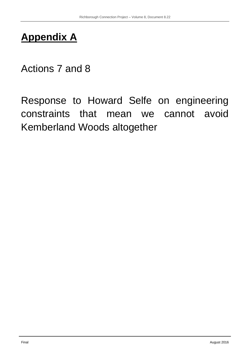# **Appendix A**

# Actions 7 and 8

Response to Howard Selfe on engineering constraints that mean we cannot avoid Kemberland Woods altogether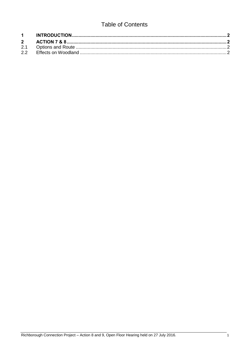### **Table of Contents**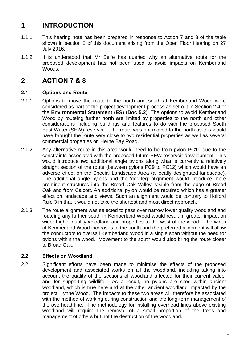### <span id="page-19-0"></span>**1 INTRODUCTION**

- 1.1.1 This hearing note has been prepared in response to Action 7 and 8 of the table shown in section 2 of this document arising from the Open Floor Hearing on 27 July 2016.
- 1.1.2 It is understood that Mr Selfe has queried why an alternative route for the proposed development has not been used to avoid impacts on Kemberland Woods.

### <span id="page-19-1"></span>**2 ACTION 7 & 8**

#### <span id="page-19-2"></span>**2.1 Options and Route**

- 2.1.1 Options to move the route to the north and south at Kemberland Wood were considered as part of the project development process as set out in Section 2.4 of the **Environmental Statement** (**ES**) (**Doc 5.2**). The options to avoid Kemberland Wood by routeing further north are limited by properties to the north and other considerations including buildings and features to do with the proposed South East Water (SEW) reservoir. The route was not moved to the north as this would have brought the route very close to two residential properties as well as several commercial properties on Herne Bay Road.
- 2.1.2 Any alternative route in this area would need to be from pylon PC10 due to the constraints associated with the proposed future SEW reservoir development. This would introduce two additional angle pylons along what is currently a relatively straight section of the route (between pylons PC9 to PC12) which would have an adverse effect on the Special Landscape Area (a locally designated landscape). The additional angle pylons and the 'dog-leg' alignment would introduce more prominent structures into the Broad Oak Valley, visible from the edge of Broad Oak and from Calcott. An additional pylon would be required which has a greater effect on landscape and views. Such an alignment would be contrary to Holford Rule 3 in that it would not take the shortest and most direct approach.
- 2.1.3 The route alignment was selected to pass over narrow lower quality woodland and routeing any further south in Kemberland Wood would result in greater impact on wider higher quality woodland and properties to the west of the wood. The width of Kemberland Wood increases to the south and the preferred alignment will allow the conductors to oversail Kemberland Wood in a single span without the need for pylons within the wood. Movement to the south would also bring the route closer to Broad Oak.

#### <span id="page-19-3"></span>**2.2 Effects on Woodland**

2.2.1 Significant efforts have been made to minimise the effects of the proposed development and associated works on all the woodland, including taking into account the quality of the sections of woodland affected for their current value, and for supporting wildlife. As a result, no pylons are sited within ancient woodland, which is true here and at the other ancient woodland impacted by the project, Lynne Wood. The impacts to these two areas will therefore be associated with the method of working during construction and the long-term management of the overhead line. The methodology for installing overhead lines above existing woodland will require the removal of a small proportion of the trees and management of others but not the destruction of the woodland.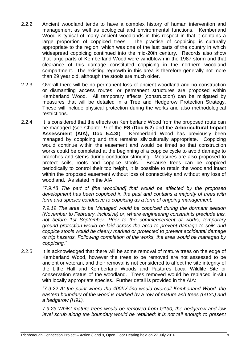- 2.2.2 Ancient woodland tends to have a complex history of human intervention and management as well as ecological and environmental functions. Kemberland Wood is typical of many ancient woodlands in this respect in that it contains a large proportion of coppiced trees. The practise of coppicing is culturally appropriate to the region, which was one of the last parts of the country in which widespread coppicing continued into the mid-20th century. Records also show that large parts of Kemberland Wood were windblown in the 1987 storm and that clearance of this damage constituted coppicing in the northern woodland compartment. The existing regrowth in this area is therefore generally not more than 29 year old, although the stools are much older.
- 2.2.3 Overall there will be no permanent loss of ancient woodland and no construction or dismantling access routes, or permanent structures are proposed within Kemberland Wood. All temporary effects (construction) can be mitigated by measures that will be detailed in a Tree and Hedgerow Protection Strategy. These will include physical protection during the works and also methodological restrictions.
- 2.2.4 It is considered that the effects on Kemberland Wood from the proposed route can be managed (see Chapter 9 of the **ES** (**Doc 5.2**) and the **Arboricultural Impact Assessment (AIA), Doc 5.4.3I**). Kemberland Wood has previously been managed by coppicing and this remains silviculturally appropriate. Coppicing would continue within the easement and would be timed so that construction works could be completed at the beginning of a coppice cycle to avoid damage to branches and stems during conductor stringing. Measures are also proposed to protect soils, roots and coppice stools. Because trees can be coppiced periodically to control their top height, it is possible to retain the woodland intact within the proposed easement without loss of connectivity and without any loss of woodland. As stated in the AIA:

*"7.9.18 The part of [the woodland] that would be affected by the proposed development has been coppiced in the past and contains a majority of trees with form and species conducive to coppicing as a form of ongoing management.*

*7.9.19 The area to be Managed would be coppiced during the dormant season (November to February, inclusive) or, where engineering constraints preclude this, not before 1st September. Prior to the commencement of works, temporary ground protection would be laid across the area to prevent damage to soils and coppice stools would be clearly marked or protected to prevent accidental damage or trip hazards. Following completion of the works, the area would be managed by coppicing."*

2.2.5 It is acknowledged that there will be some removal of mature trees on the edge of Kemberland Wood, however the trees to be removed are not assessed to be ancient or veteran, and their removal is not considered to affect the site integrity of the Little Hall and Kemberland Woods and Pastures Local Wildlife Site or conservation status of the woodland. Trees removed would be replaced in-situ with locally appropriate species. Further detail is provided in the AIA:

> *"7.9.22 At the point where the 400kV line would oversail Kemberland Wood, the eastern boundary of the wood is marked by a row of mature ash trees (G130) and a hedgerow (H91).*

> *7.9.23 Whilst mature trees would be removed from G130, the hedgerow and low level scrub along the boundary would be retained; it is not tall enough to present*